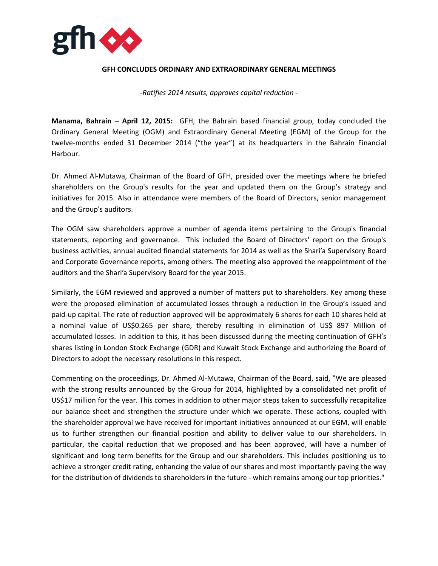

## **GFH CONCLUDES ORDINARY AND EXTRAORDINARY GENERAL MEETINGS**

*-Ratifies 2014 results, approves capital reduction -*

**Manama, Bahrain – April 12, 2015:** GFH, the Bahrain based financial group, today concluded the Ordinary General Meeting (OGM) and Extraordinary General Meeting (EGM) of the Group for the twelve-months ended 31 December 2014 ("the year") at its headquarters in the Bahrain Financial Harbour.

Dr. Ahmed Al-Mutawa, Chairman of the Board of GFH, presided over the meetings where he briefed shareholders on the Group's results for the year and updated them on the Group's strategy and initiatives for 2015. Also in attendance were members of the Board of Directors, senior management and the Group's auditors.

The OGM saw shareholders approve a number of agenda items pertaining to the Group's financial statements, reporting and governance. This included the Board of Directors' report on the Group's business activities, annual audited financial statements for 2014 as well as the Shari'a Supervisory Board and Corporate Governance reports, among others. The meeting also approved the reappointment of the auditors and the Shari'a Supervisory Board for the year 2015.

Similarly, the EGM reviewed and approved a number of matters put to shareholders. Key among these were the proposed elimination of accumulated losses through a reduction in the Group's issued and paid-up capital. The rate of reduction approved will be approximately 6 shares for each 10 shares held at a nominal value of US\$0.265 per share, thereby resulting in elimination of US\$ 897 Million of accumulated losses. In addition to this, it has been discussed during the meeting continuation of GFH's shares listing in London Stock Exchange (GDR) and Kuwait Stock Exchange and authorizing the Board of Directors to adopt the necessary resolutions in this respect.

Commenting on the proceedings, Dr. Ahmed Al-Mutawa, Chairman of the Board, said, "We are pleased with the strong results announced by the Group for 2014, highlighted by a consolidated net profit of US\$17 million for the year. This comes in addition to other major steps taken to successfully recapitalize our balance sheet and strengthen the structure under which we operate. These actions, coupled with the shareholder approval we have received for important initiatives announced at our EGM, will enable us to further strengthen our financial position and ability to deliver value to our shareholders. In particular, the capital reduction that we proposed and has been approved, will have a number of significant and long term benefits for the Group and our shareholders. This includes positioning us to achieve a stronger credit rating, enhancing the value of our shares and most importantly paving the way for the distribution of dividends to shareholders in the future - which remains among our top priorities."